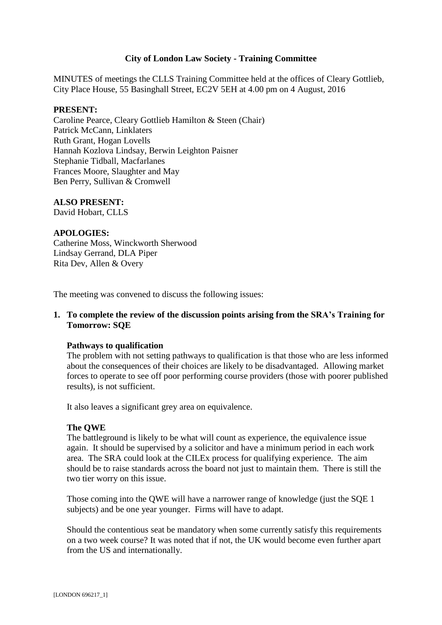## **City of London Law Society - Training Committee**

MINUTES of meetings the CLLS Training Committee held at the offices of Cleary Gottlieb, City Place House, 55 Basinghall Street, EC2V 5EH at 4.00 pm on 4 August, 2016

### **PRESENT:**

Caroline Pearce, Cleary Gottlieb Hamilton & Steen (Chair) Patrick McCann, Linklaters Ruth Grant, Hogan Lovells Hannah Kozlova Lindsay, Berwin Leighton Paisner Stephanie Tidball, Macfarlanes Frances Moore, Slaughter and May Ben Perry, Sullivan & Cromwell

### **ALSO PRESENT:**

David Hobart, CLLS

### **APOLOGIES:**

Catherine Moss, Winckworth Sherwood Lindsay Gerrand, DLA Piper Rita Dev, Allen & Overy

The meeting was convened to discuss the following issues:

### **1. To complete the review of the discussion points arising from the SRA's Training for Tomorrow: SQE**

#### **Pathways to qualification**

The problem with not setting pathways to qualification is that those who are less informed about the consequences of their choices are likely to be disadvantaged. Allowing market forces to operate to see off poor performing course providers (those with poorer published results), is not sufficient.

It also leaves a significant grey area on equivalence.

#### **The QWE**

The battleground is likely to be what will count as experience, the equivalence issue again. It should be supervised by a solicitor and have a minimum period in each work area. The SRA could look at the CILEx process for qualifying experience. The aim should be to raise standards across the board not just to maintain them. There is still the two tier worry on this issue.

Those coming into the QWE will have a narrower range of knowledge (just the SQE 1 subjects) and be one year younger. Firms will have to adapt.

Should the contentious seat be mandatory when some currently satisfy this requirements on a two week course? It was noted that if not, the UK would become even further apart from the US and internationally.